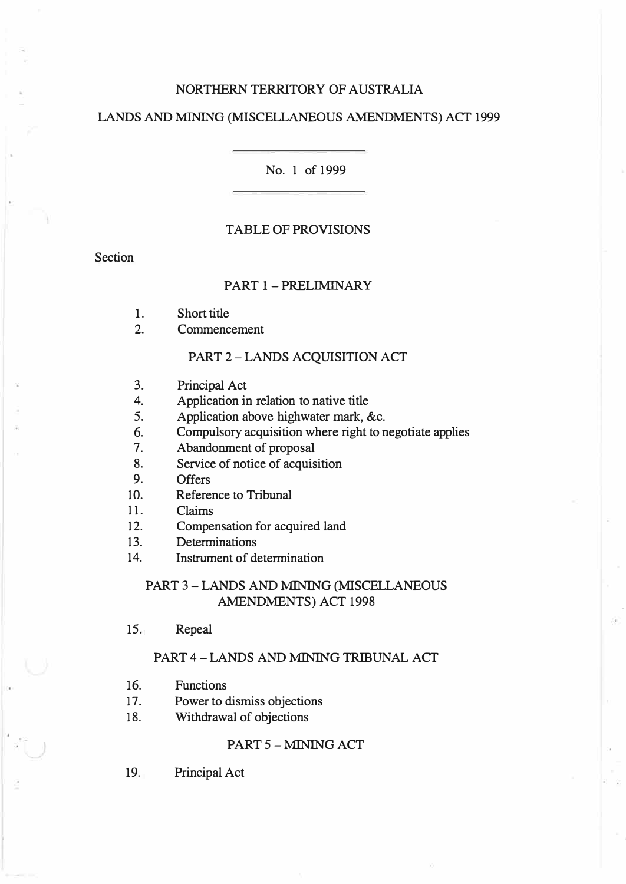# NORTHERN TERRITORY OF AUSTRALIA

# LANDS AND MINING (MISCELLANEOUS AMENDMENTS) ACT 1999

#### No. 1 of 1999

# TABLE OF PROVISIONS

Section

## PART 1 - PRELIMINARY

- 1. Short title
- 2. Commencement

# PART 2 - LANDS ACQUISITION ACT

- 3. Principal Act
- 4. Application in relation to native title<br>5. Application above highwater mark. 8
- Application above highwater mark, &c.
- 6. Compulsory acquisition where right to negotiate applies
- 7. Abandonment of proposal
- 8. Service of notice of acquisition
- 9. Offers
- 10. Reference to Tribunal
- 11. Claims
- 12. Compensation for acquired land
- 13. Determinations
- 14. Instrument of determination

# PART 3 - LANDS AND MINING (MISCELLANEOUS AMENDMENTS) ACT 1998

15. Repeal

#### PART 4 - LANDS AND MINING TRIBUNAL ACT

- 16. Functions
- 17. Power to dismiss objections
- 18. Withdrawal of objections

# PART 5 - MINING ACT

19. Principal Act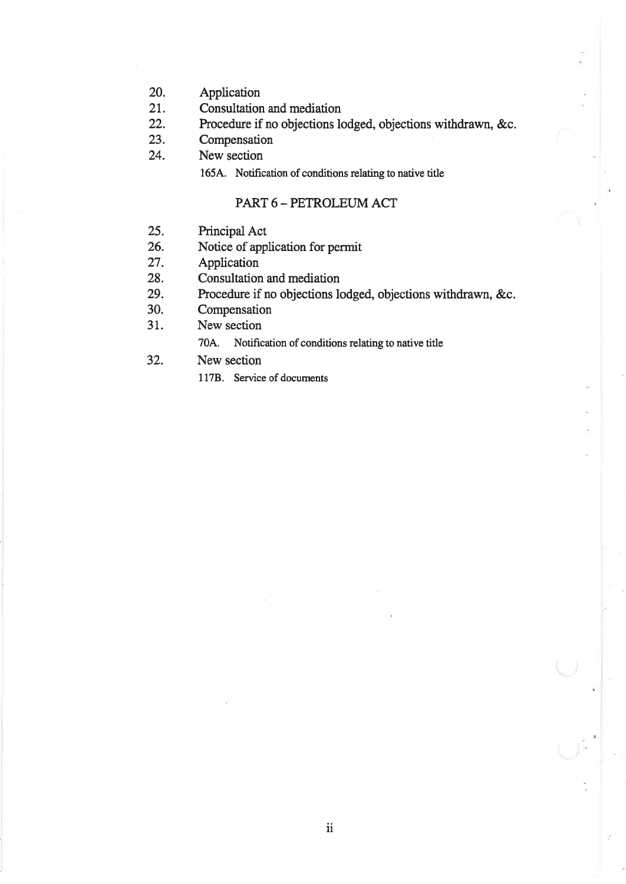- 20. Application
- 2r. Consultation and mediation
- 22. Procedure if no objections lodged, objections withdrawn, &c.
- 23. Compensation
- 24. New section

1654. Notification of conditions relating to native title

# PART6-PETROIEUMACT

- 25. Principal Act
- 26. Notice of application for permit
- 27. Application
- 28. Consultation and mediation
- 29. Procedure if no objections lodged, objections withdrawn, &c.
- 30. Compensation
- 31. New section
	- 704. Notification of conditions relating to native title
- 32. New section
	- 1178. Service of documents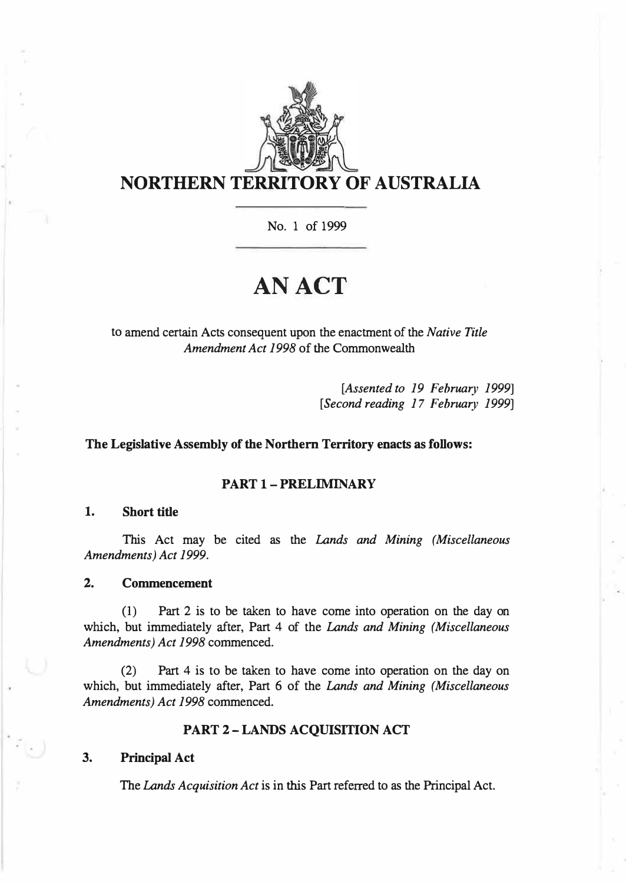

No. 1 of 1999

# **AN ACT**

to amend certain Acts consequent upon the enactment of the *Native Title Amendment Act 1998* of the Commonwealth

> *[Assented to 19 February 1999] [Second reading 17 February 1999]*

# **The Legislative Assembly of the Northern Territory enacts as follows:**

# **PART 1 - PRELIMINARY**

#### **1. Short title**

This Act may be cited as the *Lands and Mining (Miscellaneous Amendments) Act 1999.* 

# **2. Commencement**

(1) Part 2 is to be taken to have come into operation on the day on which, but immediately after, Part 4 of the *Lands and Mining (Miscellaneous Amendments) Act 1998* commenced.

(2) Part 4 is to be taken to have come into operation on the day on which, but immediately after, Part 6 of the *Lands and Mining (Miscellaneous Amendments) Act 1998* commenced.

#### **PART 2-LANDS ACQUISITION ACT**

# **3. Principal Act**

The *Lands Acquisition Act* is in this Part referred to as the Principal Act.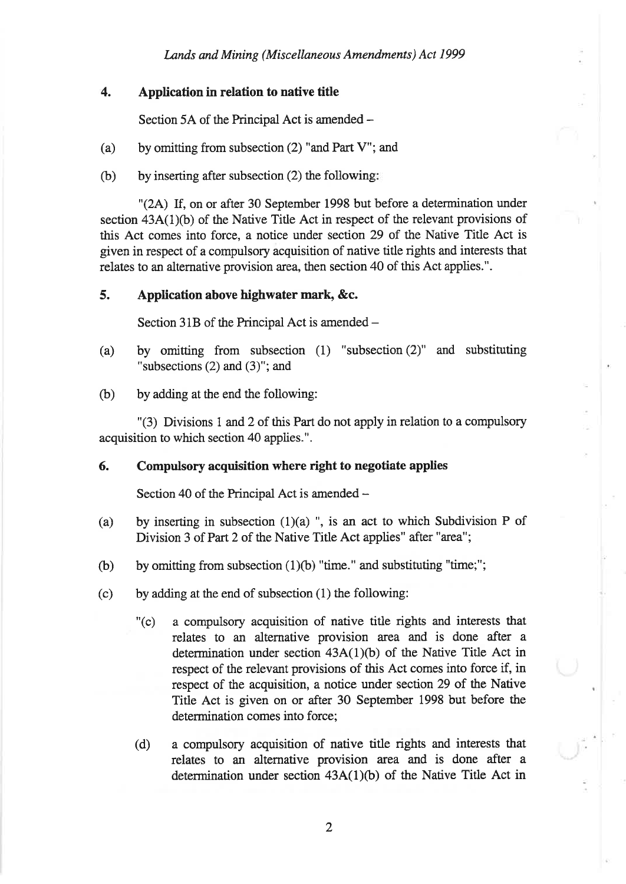# 4. Application in relation to native title

Section 5A of the Principal Act is amended -

- (a) by omitting from subsection (2) "and Part V"; and
- (b) by inserting after subsection (2) the following

"(2A) If, on or after 30 September 1998 but before a determination under section 43A(1)(b) of the Native Title Act in respect of the relevant provisions of this Act comes into force, a notice under section 29 of the Native Title Act is given in respect of a compulsory acquisition of native title rights and interests that relates to an alternative provision area, then section 40 of this Act applies.".

# 5. Application above highwater mark, &c.

Section 31B of the Principal Act is amended -

- (a) by omitting from subsecúon (1) "subsection (2)" and substituting "subsections (2) and (3)"; and
- (b) by adding at the end the following:

"(3) Divisions 1 and 2 of this Part do not apply in relation to a compulsory acquisition to which section 40 applies.".

# 6. Compulsory acquisition where right to negotiate applies

Section 40 of the Principal Act is amended  $-$ 

- (a) by inserting in subsection  $(1)(a)$  ", is an act to which Subdivision P of Division 3 of Part 2 of the Native Title Act applies" after "area";
- (b) by omitting from subsection  $(1)(b)$  "time." and substituting "time;";
- (c) by adding at the end of subsection (1) the following:
	- "(c) a compulsory acquisition of native title rights and intetests that reiates to an alternative provision area and is done after <sup>a</sup> determination under section  $43A(1)(b)$  of the Native Title Act in respect of the relevant provisions of this Act comes into force if, in respect of the acquisition, a notice under section 29 of the Native Title Act is given on or after 30 September 1998 but before the determination comes into force;
	- (d) <sup>a</sup>compulsory acquisition of native title rights and interests that relates to an alternative provision area and is done after <sup>a</sup> determination under section  $43A(1)(b)$  of the Native Title Act in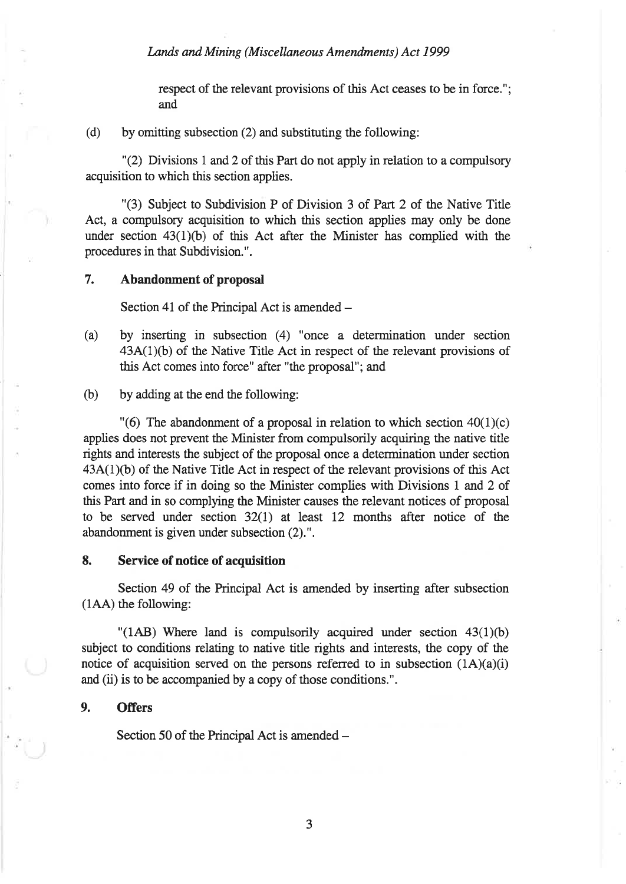respect of the relevant provisions of this Act ceases to be in force."; and

(d) by omitting subsection (2) and substituting the following:

"(2) Divisions 1 and 2 of this Part do not apply in relation to a compulsory acquisition to which this section applies.

"(3) Subject to Subdivision P of Division 3 of Part 2 of the Native Title Act, a compulsory acquisition to which this section applies may oniy be done under section  $43(1)(b)$  of this Act after the Minister has complied with the procedures in that Subdivision.".

# 7. Abandonment of proposal

Section 41 of the Principal Act is amended  $-$ 

- (a) by inserting in subsection (4) "once a determination under section  $43A(1)(b)$  of the Native Title Act in respect of the relevant provisions of this Act comes into force" after "the proposal"; and
- (b) by adding at the end the following:

"(6) The abandonment of a proposal in relation to which section  $40(1)(c)$ applies does not prevent the Minister from compulsorily acquiring the native title rights and interests the subject of the proposal once a determination under section  $43A(1)(b)$  of the Native Title Act in respect of the relevant provisions of this Act comes into force if in doing so the Minister complies with Divisions 1 and 2 of this Part and in so compþing the Minister causes the relevant notices of proposal to be served under section 32(l) at Ieast 12 months after notice of the abandonment is given under subsection (2).".

#### 8. Service of notice of acquisition

Section 49 of the Principal Act is amended by inserting after subsection (1AA) the following:

"(1AB) Where land is compulsorily acquired under section  $43(1)(b)$ subject to conditions relating to native title rights and interests, the copy of the notice of acquisition served on the persons referred to in subsection  $(1A)(a)(i)$ and (ii) is to be accompanied by a copy of those conditions.".

## 9. Offers

Section 50 of the Principal Act is amended -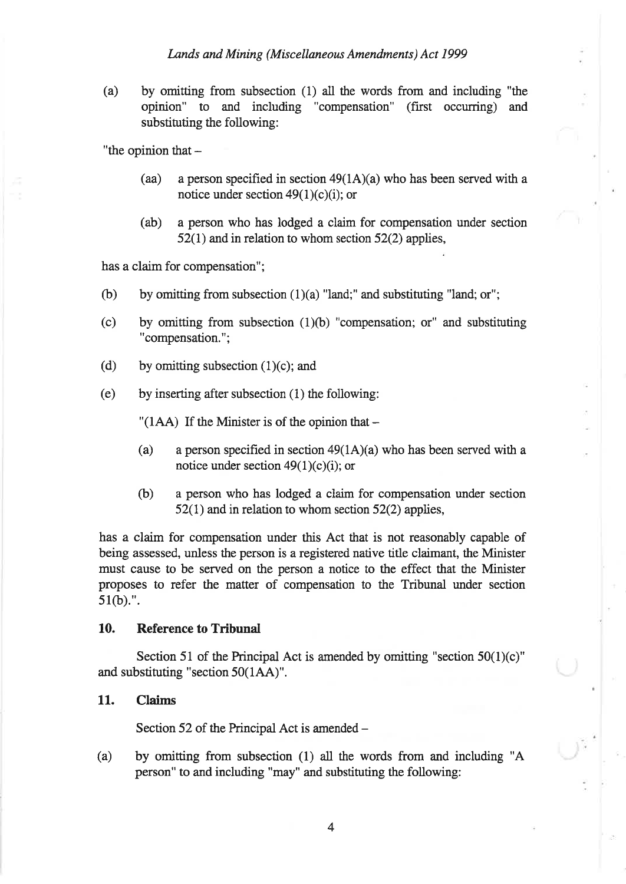(a) by omitting from subsection (1) all the words from and including "the opinion" to and including "compensation" (first occurring) and substituting the following:

"the opinion that  $-$ 

- (aa) a person specified in section  $49(1A)(a)$  who has been served with a notice under section  $49(1)(c)(i)$ ; or
- (ab) a person who has lodged a claim for compensation under section  $52(1)$  and in relation to whom section  $52(2)$  applies,

has a claim for compensation";

- (b) by omitting from subsection  $(1)(a)$  "land;" and substituting "land; or";
- (c) by omitting from subsection (1)(b) "compensation; or" and substituting "compensation.";
- (d) by omitting subsection  $(1)(c)$ ; and
- (e) by inserting after subsection  $(1)$  the following:

 $^{\prime\prime}$ (1AA) If the Minister is of the opinion that  $-$ 

- (a) a person specified in section  $49(1A)(a)$  who has been served with a notice under section  $49(1)(c)(i)$ ; or
- (b) a person who has lodged a claim for compensation under section  $52(1)$  and in relation to whom section  $52(2)$  applies,

has a claim for compensation under this Act that is not reasonably capable of being assessed, unless the person is a registered native title claimant, the Minister must cause to be served on the person a notice to the effect that the Minister proposes to refer the matter of compensation to the Tribunal under section 51(b).".

#### 10. Reference to Tribunal

Section 51 of the Principal Act is amended by omitting "section  $50(1)(c)$ " and substituting "section 50(1AA)".

## 11. Claims

Section 52 of the Principal Act is amended  $-$ 

(a) by omitting from subsection (1) all the words from and including "A person" to and including "may" and substituting the following: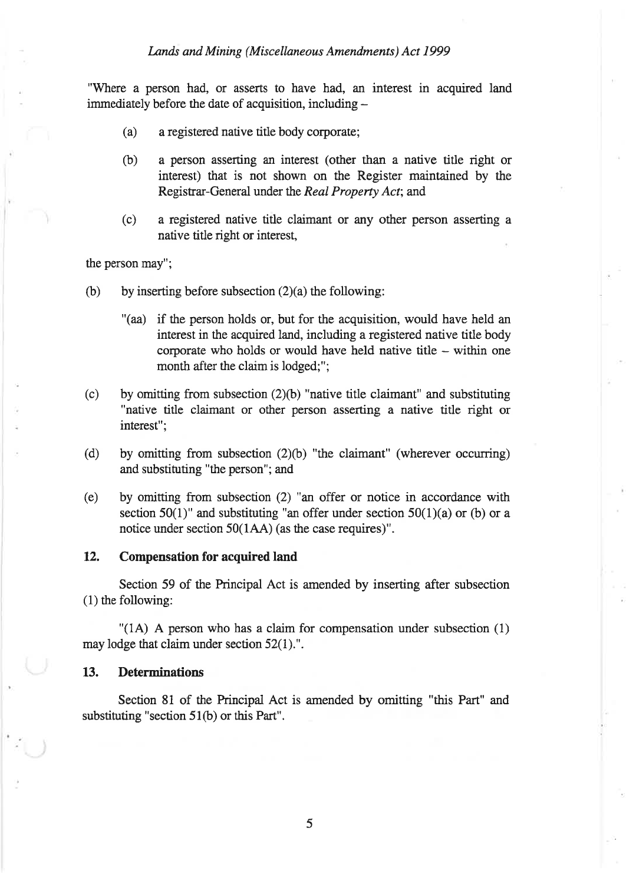"Where a person had, or asserts to have had, an interest in acquired land immediately before the date of acquisition, including  $-$ 

- (a) a registered native title body corporate;
- (b) a person asserting an interest (other than a native title right or interest) that is not shown on the Register maintained by the Registrar-General under the Real Property Act; and
- (c) <sup>a</sup>registered native title claimant or any other person asserting <sup>a</sup> native title right or interest,

the person may";

- (b) by inserting before subsection  $(2)(a)$  the following:
	- "(aa) if the person holds or, but for the acquisition, would have held an interest in the acquired land, including a registered native title body corporate who holds or would have held native title - within one month after the claim is lodged;";
- (c) by omitting from subsection  $(2)(b)$  "native title claimant" and substituting "native title claimant or other person asserting a native title right or interest";
- (d) by omitting from subsection (2)(b) "the claimant" (wherever occurring) and substituting "the person"; and
- (e) by omitting from subsection (2) "an offer or notice in accordance with section 50(1)" and substituting "an offer under section 50(1)(a) or (b) or a notice under section 50(1AA) (as the case requires)".

#### 12. Compensation for acquired land

Section 59 of the Principal Act is amended by inserting after subsection (1) the following:

"(14) A person who has a claim for compensation under subsection (1) may lodge that claim under section 52(1).".

#### 13. Determinations

Section 81 of the Principal Act is amended by omitting "this Part" and substituting "section  $51(b)$  or this Part".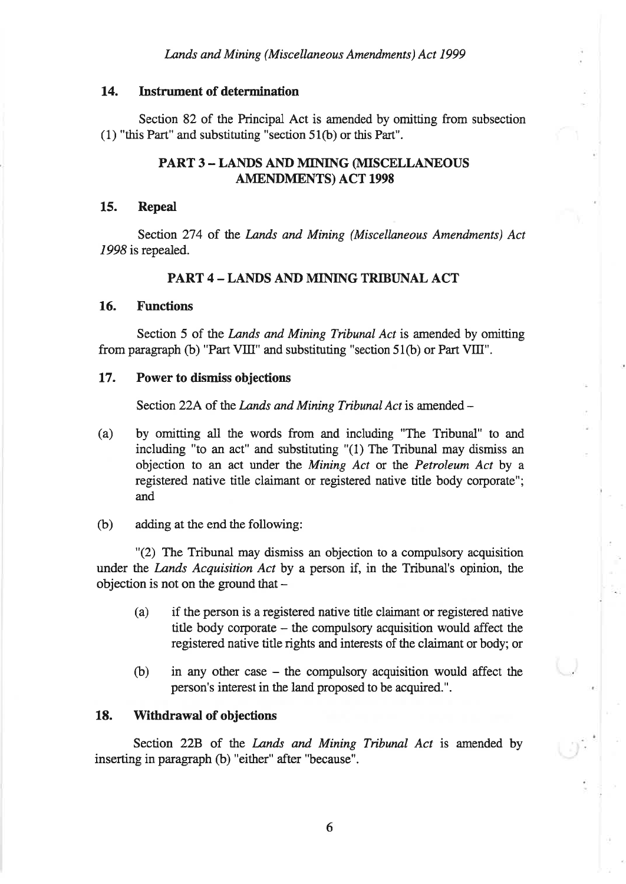# 14. Instrument of determination

Section 82 of the Principal Act is amended by omitting from subsection (1) "this Part" and substituting "section 51(b) or this Part".

# PART 3 - LANDS AND MINING (MISCELLANEOUS AMENDMENTS) ACT 1998

## 15. Repeal

Section 274 of the Lands and Mining (Miscellaneous Amendments) Act 1998 is repealed.

# PART 4 - LANDS AND MINING TRIBUNAL ACT

#### 16. Functions

Section 5 of the *Lands and Mining Tribunal Act* is amended by omitting from paragraph (b) "Part VIII" and substituting "section 51(b) or Part VIII".

# 17. Power to dismiss objections

Section 22A of the Lands and Mining Tribunal Act is amended -

- (a) by omitting all the words from and including "The Tribunal" to and including "to an act" and substituting "(1) The Tribunal may dismiss an objection to an act under the Mining Act or the Petroleum Act by <sup>a</sup> registered native title claimant or registered native title body corporate"; and
- (b) adding at the end the following:

"(2) The Tribunal may dismiss an objection to a compulsory acquisition under the *Lands Acquisition Act* by a person if, in the Tribunal's opinion, the objection is not on the ground that  $-$ 

- (a) if the person is a registered native title claimant or registered native titie body corporate - the compulsory acquisition would affect the registered native title rights and interests of the claimant or body; or
- (b) in any other case the compulsory acquisition would affect the person's interest in the iand proposed to be acquired.".

#### 18. Withdrawal of objections

Section 22B of the Lands and Mining Tribunal Act is amended by inserting in paragraph (b) "either" after "because".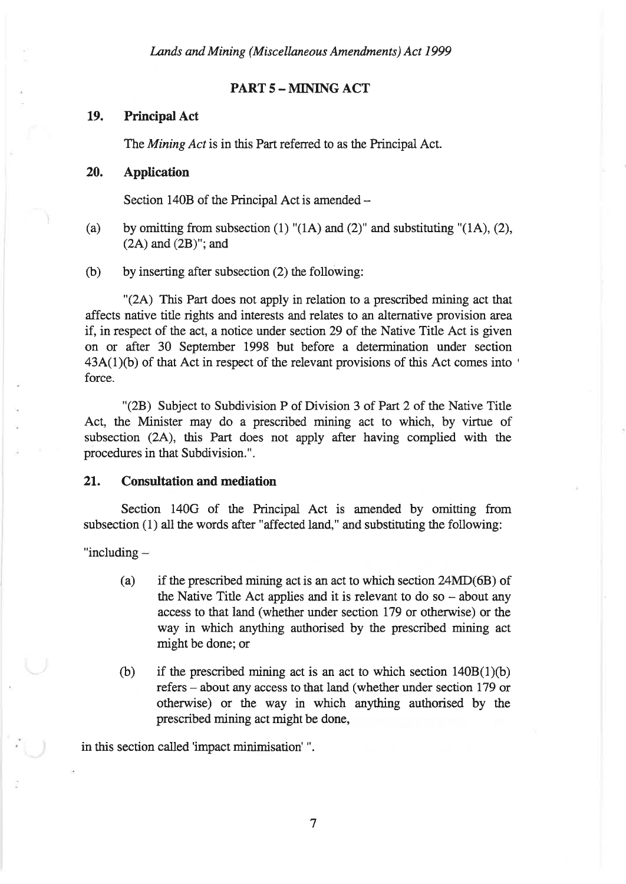# PART 5 - MINING ACT

# 19. Principal Act

The Mining Act is in this Part referred to as the Principal Act.

#### 20. Application

Section 140B of the Principal Act is amended  $-$ 

- (a) by omitting from subsection (1) "(1A) and (2)" and substituting "(1A), (2),  $(2A)$  and  $(2B)$ "; and
- (b) by inserting after subsection (2) the following:

"(24) This Part does not apply in relation to a prescribed mining act that affects native title rights and interests and relates to an alternative provision area if, in respect of the act, a notice under section 29 of the Native Title Act is given on or after 30 September 1998 but before a determination under section  $43A(1)(b)$  of that Act in respect of the relevant provisions of this Act comes into ' force.

"(28) Subject to Subdivision P of Division 3 of Part 2 of the Native Title Act, the Minister may do a prescribed mining act to which, by virtue of subsection (24), this Part does not apply after having complied with the procedures in that Subdivision.".

#### 21. Consultation and mediation

Section 140G of the Principal Act is amended by omitting from subsection (1) all the words after "affected land," and substituting the following:

"including

- (a) if the prescribed mining act is an act to which section 24MD(68) of the Native Title Act applies and it is relevant to do so  $-$  about any access to that land (whether under section 179 or otherwise) or the way in which anything authorised by the prescribed mining act might be done; or
- (b) if the prescribed mining act is an act to which section  $140B(1)(b)$ refers – about any access to that land (whether under section 179 or otherwise) or the way in which anything authorised by the prescribed mining act might be done,

in this section called'impact minimisation' ".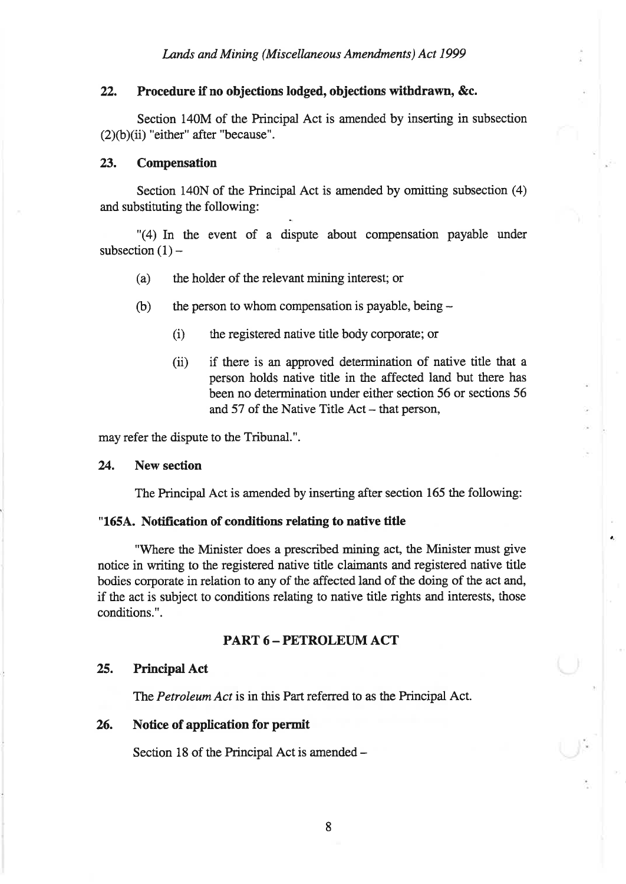# ?2. Procedure if no objections lodged, objections withdrawn, &c.

Section 140M of the Principal Act is amended by inserting in subsection  $(2)(b)(ii)$  "either" after "because".

#### 23. Compensation

Section 140N of the Principal Act is amended by omitting subsection  $(4)$ and substituting the following:

"(4) In the event of a dispute about compensation payable under subsection  $(1)$  -

- (a) the holder of the relevant mining interest; or
- (b) the person to whom compensation is payable, being  $-$ 
	- (i) the registered native title body corporate; or
	- (ii) if there is an approved determination of native title that a person holds native title in the affected land but there has been no determination under either section 56 or sections 56 and 57 of the Native Title Act – that person,

may refer the dispute to the Tribunal.".

## 24. New section

The Principal Act is amended by inserting after section 165 the following:

#### "1654. Notification of conditions relating to native title

"'Where the Minister does a prescribed mining act, the Minister must give notice in writing to the regisæred native title claimants and registered native title bodies corporate in relation to any of the affected land of the doing of the act and, if the act is subject to conditions relating to native title rights and interests, those conditions.".

# PART 6 - PETROLEUM ACT

# 25. Principal Act

The Petroleum Act is in this Part referred to as the Principal Act.

## 26. Notice of application for permit

Section 18 of the Principal Act is amended -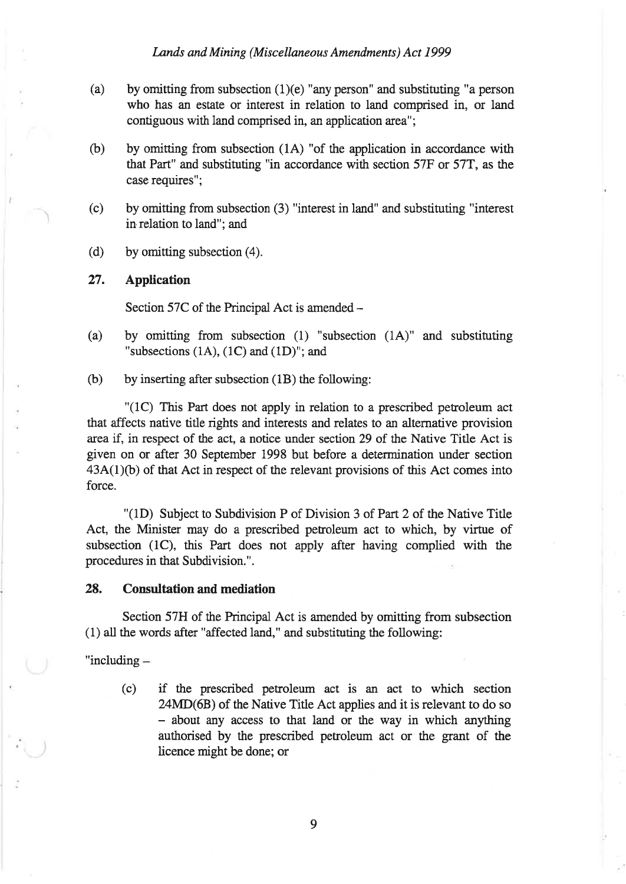- (a) by omitting from subsection  $(1)(e)$  "any person" and substituting "a person who has an estate or interest in relation to land comprised in, or land contiguous with land comprised in, an application area";
- (b) by omitting from subsection (14) "of the application in accordance with that Part" and substituting "in accordance with section 57F or 57T, as the case requires";
- $(c)$  by omitting from subsection (3) "interest in land" and substituting "interest in relation to land"; and
- (d) by omitting subsection  $(4)$ .

### 27. Application

Section 57C of the Principal Act is amended -

- (a) by omitting from subsection (1) "subsection (1A)" and substituting "subsections  $(1A)$ ,  $(1C)$  and  $(1D)$ "; and
- (b) by inserting after subsection (18) the following:

"(1C) This Part does not apply in relation to a prescribed petroleum act that affects native title rights and interests and relates to an alternative provision area if, in respect of the act, a notice under section 29 of the Native Title Act is given on or after 30 September 1998 but before a determination under section  $43A(1)(b)$  of that Act in respect of the relevant provisions of this Act comes into force.

"(1D) Subject to Subdivision P of Division 3 of Part 2 of the Native Title Act, the Minister may do a prescribed petroleum act to which, by virtue of subsection (1C), this Part does not apply after having complied with the procedures in that Subdivision.".

#### 28. Consultation and mediation

Section 57H of the Principal Act is amended by omitting from subsection (1) all the words after "affected land," and substituting the following:

"including

(c) if the prescribed petroleum act is an act to which section 24MD(6B) of the Native Title Act applies and it is relevant to do so - about any access to that land or the way in which anything authorised by the prescribed petroleum act or the grant of the licence might be done; or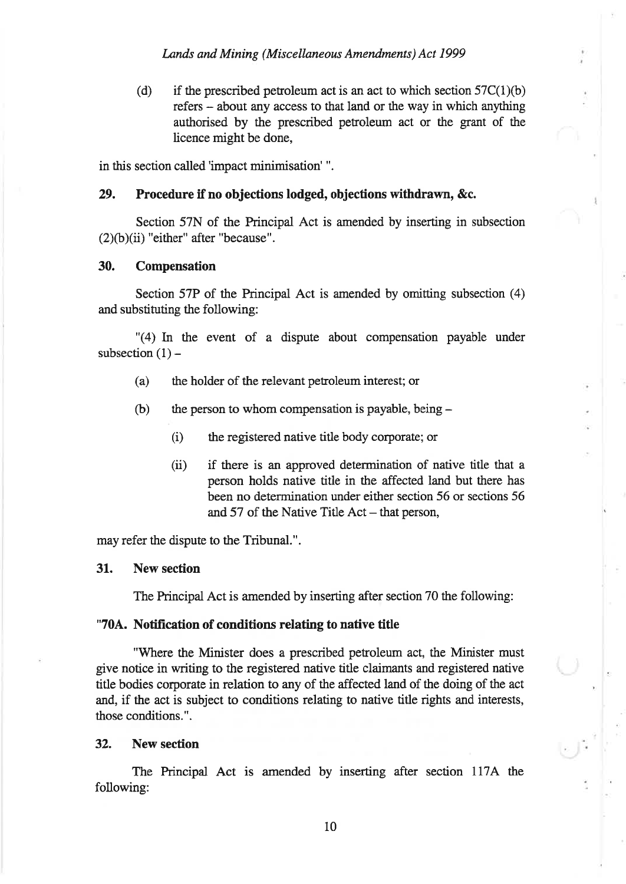(d) if the prescribed petroleum act is an act to which section  $57C(1)(b)$ refers - about any access to that land or the way in which anything authorised by the prescribed petroleum act or the grant of the licence might be done,

in this section called'impact minimisation' ".

# 29. Procedure if no objections lodged, objections withdrawn, &c.

Section 57N of the Principal Act is amended by inserting in subsection  $(2)(b)(ii)$  "either" after "because".

#### 30. Compensation

Section 57P of the Principal Act is amended by omitting subsection  $(4)$ and substituting the following:

"(4) In the event of a dispute about compensation payable under subsection  $(1)$  –

- (a) the holder of the relevant petroleum interest; or
- (b) the person to whom compensation is payable, being -
	- (i) the registered native title body corporate; or
	- (ii) if there is an approved determination of native title that a person holds native title in the affected land but there has been no determination under either section 56 or sections 56 and  $57$  of the Native Title Act  $-$  that person,

may refer the dispute to the Tribunal.".

#### 31. New section

The Principal Act is amended by inserting after section 70 the following:

#### "704. Notification of conditions relating to native title

"Where the Minister does a prescribed petroleum act, the Minister must give notice in writing to the registered native title claimants and registered native title bodies corporate in relation to any of the affected land of the doing of the act and, if the act is subject to conditions relating to native title rights and interests, those conditions.".

#### 32. New section

The Principal Act is amended by inserting after section 1174 the following: